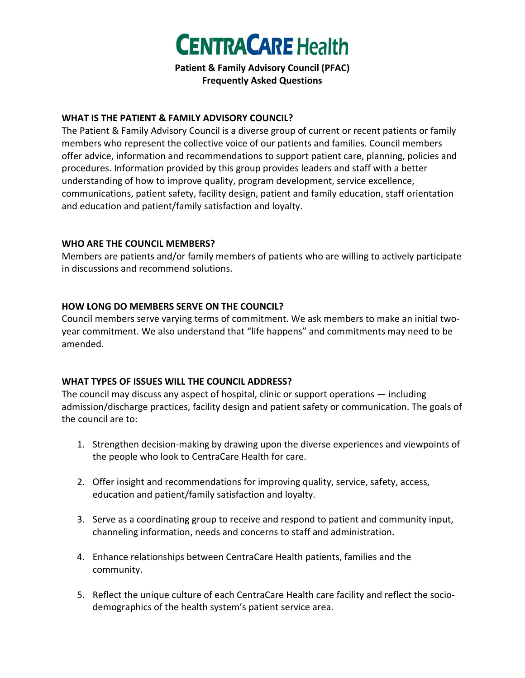

**Patient & Family Advisory Council (PFAC) Frequently Asked Questions** 

#### **WHAT IS THE PATIENT & FAMILY ADVISORY COUNCIL?**

The Patient & Family Advisory Council is a diverse group of current or recent patients or family members who represent the collective voice of our patients and families. Council members offer advice, information and recommendations to support patient care, planning, policies and procedures. Information provided by this group provides leaders and staff with a better understanding of how to improve quality, program development, service excellence, communications, patient safety, facility design, patient and family education, staff orientation and education and patient/family satisfaction and loyalty.

#### **WHO ARE THE COUNCIL MEMBERS?**

Members are patients and/or family members of patients who are willing to actively participate in discussions and recommend solutions.

### **HOW LONG DO MEMBERS SERVE ON THE COUNCIL?**

Council members serve varying terms of commitment. We ask members to make an initial twoyear commitment. We also understand that "life happens" and commitments may need to be amended.

## **WHAT TYPES OF ISSUES WILL THE COUNCIL ADDRESS?**

The council may discuss any aspect of hospital, clinic or support operations — including admission/discharge practices, facility design and patient safety or communication. The goals of the council are to:

- 1. Strengthen decision-making by drawing upon the diverse experiences and viewpoints of the people who look to CentraCare Health for care.
- 2. Offer insight and recommendations for improving quality, service, safety, access, education and patient/family satisfaction and loyalty.
- 3. Serve as a coordinating group to receive and respond to patient and community input, channeling information, needs and concerns to staff and administration.
- 4. Enhance relationships between CentraCare Health patients, families and the community.
- 5. Reflect the unique culture of each CentraCare Health care facility and reflect the sociodemographics of the health system's patient service area.